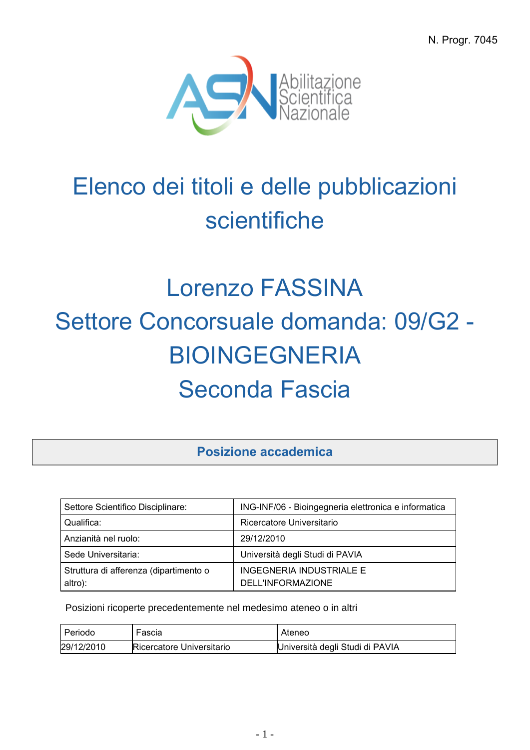N. Progr. 7045



## Elenco dei titoli e delle pubblicazioni scientifiche

## Lorenzo FASSINA Settore Concorsuale domanda: 09/G2 - BIOINGEGNERIA Seconda Fascia

**Posizione accademica**

| Settore Scientifico Disciplinare:      | ING-INF/06 - Bioingegneria elettronica e informatica |
|----------------------------------------|------------------------------------------------------|
| Qualifica:                             | Ricercatore Universitario                            |
| Anzianità nel ruolo:                   | 29/12/2010                                           |
| Sede Universitaria:                    | Università degli Studi di PAVIA                      |
| Struttura di afferenza (dipartimento o | INGEGNERIA INDUSTRIALE E                             |
| altro):                                | DELL'INFORMAZIONE                                    |

Posizioni ricoperte precedentemente nel medesimo ateneo o in altri

| I Periodo  | Fascia                    | Ateneo                          |
|------------|---------------------------|---------------------------------|
| 29/12/2010 | Ricercatore Universitario | Università degli Studi di PAVIA |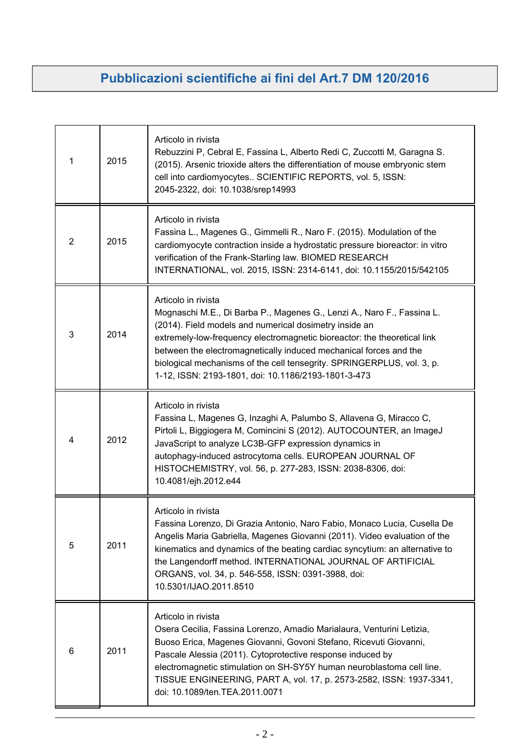## **Pubblicazioni scientifiche ai fini del Art.7 DM 120/2016**

| 1 | 2015 | Articolo in rivista<br>Rebuzzini P, Cebral E, Fassina L, Alberto Redi C, Zuccotti M, Garagna S.<br>(2015). Arsenic trioxide alters the differentiation of mouse embryonic stem<br>cell into cardiomyocytes SCIENTIFIC REPORTS, vol. 5, ISSN:<br>2045-2322, doi: 10.1038/srep14993                                                                                                                                                         |
|---|------|-------------------------------------------------------------------------------------------------------------------------------------------------------------------------------------------------------------------------------------------------------------------------------------------------------------------------------------------------------------------------------------------------------------------------------------------|
| 2 | 2015 | Articolo in rivista<br>Fassina L., Magenes G., Gimmelli R., Naro F. (2015). Modulation of the<br>cardiomyocyte contraction inside a hydrostatic pressure bioreactor: in vitro<br>verification of the Frank-Starling law. BIOMED RESEARCH<br>INTERNATIONAL, vol. 2015, ISSN: 2314-6141, doi: 10.1155/2015/542105                                                                                                                           |
| 3 | 2014 | Articolo in rivista<br>Mognaschi M.E., Di Barba P., Magenes G., Lenzi A., Naro F., Fassina L.<br>(2014). Field models and numerical dosimetry inside an<br>extremely-low-frequency electromagnetic bioreactor: the theoretical link<br>between the electromagnetically induced mechanical forces and the<br>biological mechanisms of the cell tensegrity. SPRINGERPLUS, vol. 3, p.<br>1-12, ISSN: 2193-1801, doi: 10.1186/2193-1801-3-473 |
| 4 | 2012 | Articolo in rivista<br>Fassina L, Magenes G, Inzaghi A, Palumbo S, Allavena G, Miracco C,<br>Pirtoli L, Biggiogera M, Comincini S (2012). AUTOCOUNTER, an ImageJ<br>JavaScript to analyze LC3B-GFP expression dynamics in<br>autophagy-induced astrocytoma cells. EUROPEAN JOURNAL OF<br>HISTOCHEMISTRY, vol. 56, p. 277-283, ISSN: 2038-8306, doi:<br>10.4081/ejh.2012.e44                                                               |
| 5 | 2011 | Articolo in rivista<br>Fassina Lorenzo, Di Grazia Antonio, Naro Fabio, Monaco Lucia, Cusella De<br>Angelis Maria Gabriella, Magenes Giovanni (2011). Video evaluation of the<br>kinematics and dynamics of the beating cardiac syncytium: an alternative to<br>the Langendorff method. INTERNATIONAL JOURNAL OF ARTIFICIAL<br>ORGANS, vol. 34, p. 546-558, ISSN: 0391-3988, doi:<br>10.5301/IJAO.2011.8510                                |
| 6 | 2011 | Articolo in rivista<br>Osera Cecilia, Fassina Lorenzo, Amadio Marialaura, Venturini Letizia,<br>Buoso Erica, Magenes Giovanni, Govoni Stefano, Ricevuti Giovanni,<br>Pascale Alessia (2011). Cytoprotective response induced by<br>electromagnetic stimulation on SH-SY5Y human neuroblastoma cell line.<br>TISSUE ENGINEERING, PART A, vol. 17, p. 2573-2582, ISSN: 1937-3341,<br>doi: 10.1089/ten.TEA.2011.0071                         |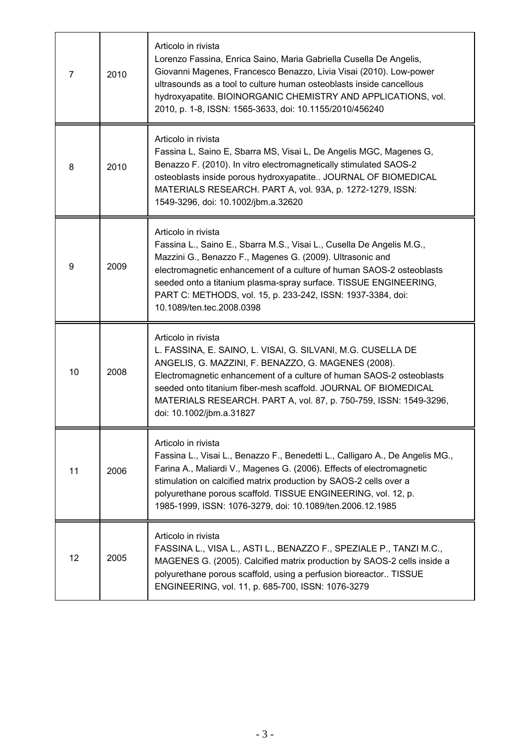| 7  | 2010 | Articolo in rivista<br>Lorenzo Fassina, Enrica Saino, Maria Gabriella Cusella De Angelis,<br>Giovanni Magenes, Francesco Benazzo, Livia Visai (2010). Low-power<br>ultrasounds as a tool to culture human osteoblasts inside cancellous<br>hydroxyapatite. BIOINORGANIC CHEMISTRY AND APPLICATIONS, vol.<br>2010, p. 1-8, ISSN: 1565-3633, doi: 10.1155/2010/456240                               |
|----|------|---------------------------------------------------------------------------------------------------------------------------------------------------------------------------------------------------------------------------------------------------------------------------------------------------------------------------------------------------------------------------------------------------|
| 8  | 2010 | Articolo in rivista<br>Fassina L, Saino E, Sbarra MS, Visai L, De Angelis MGC, Magenes G,<br>Benazzo F. (2010). In vitro electromagnetically stimulated SAOS-2<br>osteoblasts inside porous hydroxyapatite JOURNAL OF BIOMEDICAL<br>MATERIALS RESEARCH. PART A, vol. 93A, p. 1272-1279, ISSN:<br>1549-3296, doi: 10.1002/jbm.a.32620                                                              |
| 9  | 2009 | Articolo in rivista<br>Fassina L., Saino E., Sbarra M.S., Visai L., Cusella De Angelis M.G.,<br>Mazzini G., Benazzo F., Magenes G. (2009). Ultrasonic and<br>electromagnetic enhancement of a culture of human SAOS-2 osteoblasts<br>seeded onto a titanium plasma-spray surface. TISSUE ENGINEERING,<br>PART C: METHODS, vol. 15, p. 233-242, ISSN: 1937-3384, doi:<br>10.1089/ten.tec.2008.0398 |
| 10 | 2008 | Articolo in rivista<br>L. FASSINA, E. SAINO, L. VISAI, G. SILVANI, M.G. CUSELLA DE<br>ANGELIS, G. MAZZINI, F. BENAZZO, G. MAGENES (2008).<br>Electromagnetic enhancement of a culture of human SAOS-2 osteoblasts<br>seeded onto titanium fiber-mesh scaffold. JOURNAL OF BIOMEDICAL<br>MATERIALS RESEARCH. PART A, vol. 87, p. 750-759, ISSN: 1549-3296,<br>doi: 10.1002/jbm.a.31827             |
| 11 | 2006 | Articolo in rivista<br>Fassina L., Visai L., Benazzo F., Benedetti L., Calligaro A., De Angelis MG.,<br>Farina A., Maliardi V., Magenes G. (2006). Effects of electromagnetic<br>stimulation on calcified matrix production by SAOS-2 cells over a<br>polyurethane porous scaffold. TISSUE ENGINEERING, vol. 12, p.<br>1985-1999, ISSN: 1076-3279, doi: 10.1089/ten.2006.12.1985                  |
| 12 | 2005 | Articolo in rivista<br>FASSINA L., VISA L., ASTI L., BENAZZO F., SPEZIALE P., TANZI M.C.,<br>MAGENES G. (2005). Calcified matrix production by SAOS-2 cells inside a<br>polyurethane porous scaffold, using a perfusion bioreactor TISSUE<br>ENGINEERING, vol. 11, p. 685-700, ISSN: 1076-3279                                                                                                    |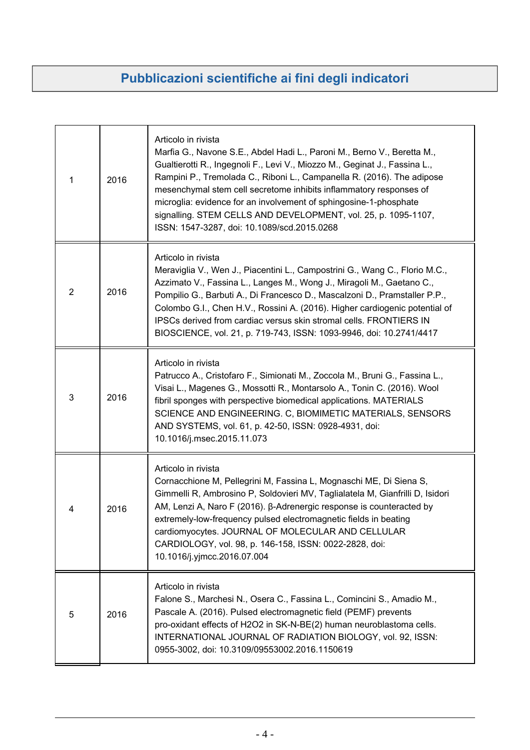## **Pubblicazioni scientifiche ai fini degli indicatori**

| 1 | 2016 | Articolo in rivista<br>Marfia G., Navone S.E., Abdel Hadi L., Paroni M., Berno V., Beretta M.,<br>Gualtierotti R., Ingegnoli F., Levi V., Miozzo M., Geginat J., Fassina L.,<br>Rampini P., Tremolada C., Riboni L., Campanella R. (2016). The adipose<br>mesenchymal stem cell secretome inhibits inflammatory responses of<br>microglia: evidence for an involvement of sphingosine-1-phosphate<br>signalling. STEM CELLS AND DEVELOPMENT, vol. 25, p. 1095-1107,<br>ISSN: 1547-3287, doi: 10.1089/scd.2015.0268 |
|---|------|--------------------------------------------------------------------------------------------------------------------------------------------------------------------------------------------------------------------------------------------------------------------------------------------------------------------------------------------------------------------------------------------------------------------------------------------------------------------------------------------------------------------|
| 2 | 2016 | Articolo in rivista<br>Meraviglia V., Wen J., Piacentini L., Campostrini G., Wang C., Florio M.C.,<br>Azzimato V., Fassina L., Langes M., Wong J., Miragoli M., Gaetano C.,<br>Pompilio G., Barbuti A., Di Francesco D., Mascalzoni D., Pramstaller P.P.,<br>Colombo G.I., Chen H.V., Rossini A. (2016). Higher cardiogenic potential of<br>IPSCs derived from cardiac versus skin stromal cells. FRONTIERS IN<br>BIOSCIENCE, vol. 21, p. 719-743, ISSN: 1093-9946, doi: 10.2741/4417                              |
| 3 | 2016 | Articolo in rivista<br>Patrucco A., Cristofaro F., Simionati M., Zoccola M., Bruni G., Fassina L.,<br>Visai L., Magenes G., Mossotti R., Montarsolo A., Tonin C. (2016). Wool<br>fibril sponges with perspective biomedical applications. MATERIALS<br>SCIENCE AND ENGINEERING. C, BIOMIMETIC MATERIALS, SENSORS<br>AND SYSTEMS, vol. 61, p. 42-50, ISSN: 0928-4931, doi:<br>10.1016/j.msec.2015.11.073                                                                                                            |
| 4 | 2016 | Articolo in rivista<br>Cornacchione M, Pellegrini M, Fassina L, Mognaschi ME, Di Siena S,<br>Gimmelli R, Ambrosino P, Soldovieri MV, Taglialatela M, Gianfrilli D, Isidori<br>AM, Lenzi A, Naro F (2016). β-Adrenergic response is counteracted by<br>extremely-low-frequency pulsed electromagnetic fields in beating<br>cardiomyocytes. JOURNAL OF MOLECULAR AND CELLULAR<br>CARDIOLOGY, vol. 98, p. 146-158, ISSN: 0022-2828, doi:<br>10.1016/j.yjmcc.2016.07.004                                               |
| 5 | 2016 | Articolo in rivista<br>Falone S., Marchesi N., Osera C., Fassina L., Comincini S., Amadio M.,<br>Pascale A. (2016). Pulsed electromagnetic field (PEMF) prevents<br>pro-oxidant effects of H2O2 in SK-N-BE(2) human neuroblastoma cells.<br>INTERNATIONAL JOURNAL OF RADIATION BIOLOGY, vol. 92, ISSN:<br>0955-3002, doi: 10.3109/09553002.2016.1150619                                                                                                                                                            |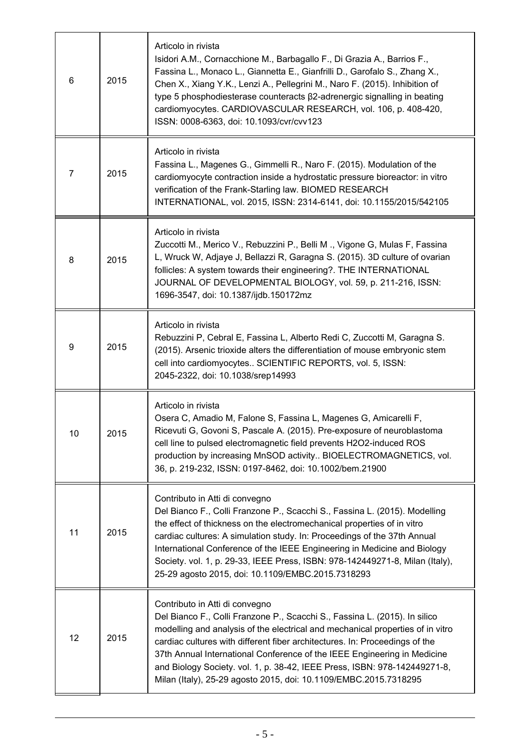| 6  | 2015 | Articolo in rivista<br>Isidori A.M., Cornacchione M., Barbagallo F., Di Grazia A., Barrios F.,<br>Fassina L., Monaco L., Giannetta E., Gianfrilli D., Garofalo S., Zhang X.,<br>Chen X., Xiang Y.K., Lenzi A., Pellegrini M., Naro F. (2015). Inhibition of<br>type 5 phosphodiesterase counteracts β2-adrenergic signalling in beating<br>cardiomyocytes. CARDIOVASCULAR RESEARCH, vol. 106, p. 408-420,<br>ISSN: 0008-6363, doi: 10.1093/cvr/cvv123                                                      |
|----|------|------------------------------------------------------------------------------------------------------------------------------------------------------------------------------------------------------------------------------------------------------------------------------------------------------------------------------------------------------------------------------------------------------------------------------------------------------------------------------------------------------------|
| 7  | 2015 | Articolo in rivista<br>Fassina L., Magenes G., Gimmelli R., Naro F. (2015). Modulation of the<br>cardiomyocyte contraction inside a hydrostatic pressure bioreactor: in vitro<br>verification of the Frank-Starling law. BIOMED RESEARCH<br>INTERNATIONAL, vol. 2015, ISSN: 2314-6141, doi: 10.1155/2015/542105                                                                                                                                                                                            |
| 8  | 2015 | Articolo in rivista<br>Zuccotti M., Merico V., Rebuzzini P., Belli M., Vigone G, Mulas F, Fassina<br>L, Wruck W, Adjaye J, Bellazzi R, Garagna S. (2015). 3D culture of ovarian<br>follicles: A system towards their engineering?. THE INTERNATIONAL<br>JOURNAL OF DEVELOPMENTAL BIOLOGY, vol. 59, p. 211-216, ISSN:<br>1696-3547, doi: 10.1387/ijdb.150172mz                                                                                                                                              |
| 9  | 2015 | Articolo in rivista<br>Rebuzzini P, Cebral E, Fassina L, Alberto Redi C, Zuccotti M, Garagna S.<br>(2015). Arsenic trioxide alters the differentiation of mouse embryonic stem<br>cell into cardiomyocytes SCIENTIFIC REPORTS, vol. 5, ISSN:<br>2045-2322, doi: 10.1038/srep14993                                                                                                                                                                                                                          |
| 10 | 2015 | Articolo in rivista<br>Osera C, Amadio M, Falone S, Fassina L, Magenes G, Amicarelli F,<br>Ricevuti G, Govoni S, Pascale A. (2015). Pre-exposure of neuroblastoma<br>cell line to pulsed electromagnetic field prevents H2O2-induced ROS<br>production by increasing MnSOD activity BIOELECTROMAGNETICS, vol.<br>36, p. 219-232, ISSN: 0197-8462, doi: 10.1002/bem.21900                                                                                                                                   |
| 11 | 2015 | Contributo in Atti di convegno<br>Del Bianco F., Colli Franzone P., Scacchi S., Fassina L. (2015). Modelling<br>the effect of thickness on the electromechanical properties of in vitro<br>cardiac cultures: A simulation study. In: Proceedings of the 37th Annual<br>International Conference of the IEEE Engineering in Medicine and Biology<br>Society. vol. 1, p. 29-33, IEEE Press, ISBN: 978-142449271-8, Milan (Italy),<br>25-29 agosto 2015, doi: 10.1109/EMBC.2015.7318293                       |
| 12 | 2015 | Contributo in Atti di convegno<br>Del Bianco F., Colli Franzone P., Scacchi S., Fassina L. (2015). In silico<br>modelling and analysis of the electrical and mechanical properties of in vitro<br>cardiac cultures with different fiber architectures. In: Proceedings of the<br>37th Annual International Conference of the IEEE Engineering in Medicine<br>and Biology Society. vol. 1, p. 38-42, IEEE Press, ISBN: 978-142449271-8,<br>Milan (Italy), 25-29 agosto 2015, doi: 10.1109/EMBC.2015.7318295 |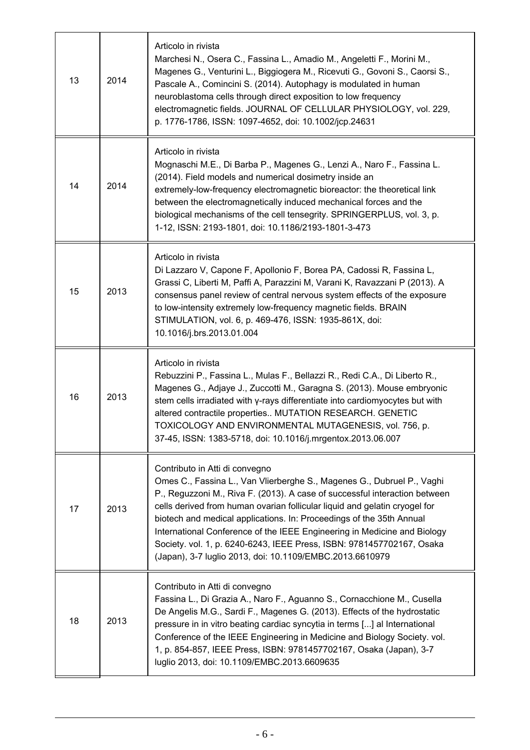| 13 | 2014 | Articolo in rivista<br>Marchesi N., Osera C., Fassina L., Amadio M., Angeletti F., Morini M.,<br>Magenes G., Venturini L., Biggiogera M., Ricevuti G., Govoni S., Caorsi S.,<br>Pascale A., Comincini S. (2014). Autophagy is modulated in human<br>neuroblastoma cells through direct exposition to low frequency<br>electromagnetic fields. JOURNAL OF CELLULAR PHYSIOLOGY, vol. 229,<br>p. 1776-1786, ISSN: 1097-4652, doi: 10.1002/jcp.24631                                                                                                              |
|----|------|---------------------------------------------------------------------------------------------------------------------------------------------------------------------------------------------------------------------------------------------------------------------------------------------------------------------------------------------------------------------------------------------------------------------------------------------------------------------------------------------------------------------------------------------------------------|
| 14 | 2014 | Articolo in rivista<br>Mognaschi M.E., Di Barba P., Magenes G., Lenzi A., Naro F., Fassina L.<br>(2014). Field models and numerical dosimetry inside an<br>extremely-low-frequency electromagnetic bioreactor: the theoretical link<br>between the electromagnetically induced mechanical forces and the<br>biological mechanisms of the cell tensegrity. SPRINGERPLUS, vol. 3, p.<br>1-12, ISSN: 2193-1801, doi: 10.1186/2193-1801-3-473                                                                                                                     |
| 15 | 2013 | Articolo in rivista<br>Di Lazzaro V, Capone F, Apollonio F, Borea PA, Cadossi R, Fassina L,<br>Grassi C, Liberti M, Paffi A, Parazzini M, Varani K, Ravazzani P (2013). A<br>consensus panel review of central nervous system effects of the exposure<br>to low-intensity extremely low-frequency magnetic fields. BRAIN<br>STIMULATION, vol. 6, p. 469-476, ISSN: 1935-861X, doi:<br>10.1016/j.brs.2013.01.004                                                                                                                                               |
| 16 | 2013 | Articolo in rivista<br>Rebuzzini P., Fassina L., Mulas F., Bellazzi R., Redi C.A., Di Liberto R.,<br>Magenes G., Adjaye J., Zuccotti M., Garagna S. (2013). Mouse embryonic<br>stem cells irradiated with y-rays differentiate into cardiomyocytes but with<br>altered contractile properties MUTATION RESEARCH. GENETIC<br>TOXICOLOGY AND ENVIRONMENTAL MUTAGENESIS, vol. 756, p.<br>37-45, ISSN: 1383-5718, doi: 10.1016/j.mrgentox.2013.06.007                                                                                                             |
| 17 | 2013 | Contributo in Atti di convegno<br>Omes C., Fassina L., Van Vlierberghe S., Magenes G., Dubruel P., Vaghi<br>P., Reguzzoni M., Riva F. (2013). A case of successful interaction between<br>cells derived from human ovarian follicular liquid and gelatin cryogel for<br>biotech and medical applications. In: Proceedings of the 35th Annual<br>International Conference of the IEEE Engineering in Medicine and Biology<br>Society. vol. 1, p. 6240-6243, IEEE Press, ISBN: 9781457702167, Osaka<br>(Japan), 3-7 luglio 2013, doi: 10.1109/EMBC.2013.6610979 |
| 18 | 2013 | Contributo in Atti di convegno<br>Fassina L., Di Grazia A., Naro F., Aguanno S., Cornacchione M., Cusella<br>De Angelis M.G., Sardi F., Magenes G. (2013). Effects of the hydrostatic<br>pressure in in vitro beating cardiac syncytia in terms [] al International<br>Conference of the IEEE Engineering in Medicine and Biology Society. vol.<br>1, p. 854-857, IEEE Press, ISBN: 9781457702167, Osaka (Japan), 3-7<br>luglio 2013, doi: 10.1109/EMBC.2013.6609635                                                                                          |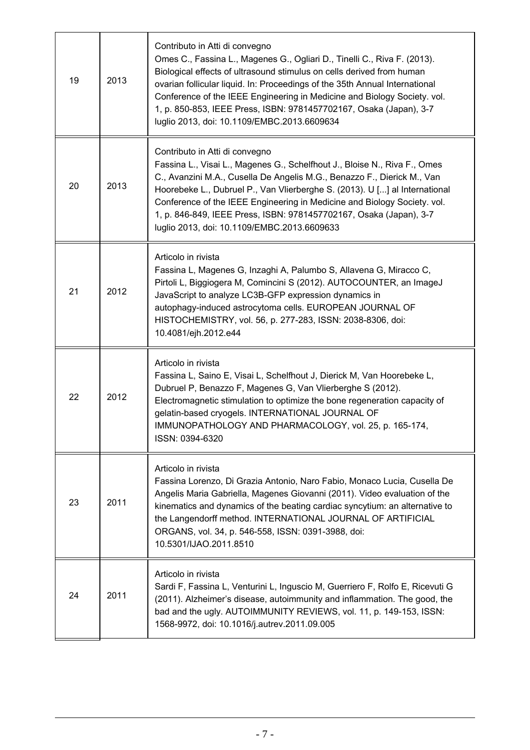| 19 | 2013 | Contributo in Atti di convegno<br>Omes C., Fassina L., Magenes G., Ogliari D., Tinelli C., Riva F. (2013).<br>Biological effects of ultrasound stimulus on cells derived from human<br>ovarian follicular liquid. In: Proceedings of the 35th Annual International<br>Conference of the IEEE Engineering in Medicine and Biology Society. vol.<br>1, p. 850-853, IEEE Press, ISBN: 9781457702167, Osaka (Japan), 3-7<br>luglio 2013, doi: 10.1109/EMBC.2013.6609634   |
|----|------|-----------------------------------------------------------------------------------------------------------------------------------------------------------------------------------------------------------------------------------------------------------------------------------------------------------------------------------------------------------------------------------------------------------------------------------------------------------------------|
| 20 | 2013 | Contributo in Atti di convegno<br>Fassina L., Visai L., Magenes G., Schelfhout J., Bloise N., Riva F., Omes<br>C., Avanzini M.A., Cusella De Angelis M.G., Benazzo F., Dierick M., Van<br>Hoorebeke L., Dubruel P., Van Vlierberghe S. (2013). U [] al International<br>Conference of the IEEE Engineering in Medicine and Biology Society. vol.<br>1, p. 846-849, IEEE Press, ISBN: 9781457702167, Osaka (Japan), 3-7<br>luglio 2013, doi: 10.1109/EMBC.2013.6609633 |
| 21 | 2012 | Articolo in rivista<br>Fassina L, Magenes G, Inzaghi A, Palumbo S, Allavena G, Miracco C,<br>Pirtoli L, Biggiogera M, Comincini S (2012). AUTOCOUNTER, an ImageJ<br>JavaScript to analyze LC3B-GFP expression dynamics in<br>autophagy-induced astrocytoma cells. EUROPEAN JOURNAL OF<br>HISTOCHEMISTRY, vol. 56, p. 277-283, ISSN: 2038-8306, doi:<br>10.4081/ejh.2012.e44                                                                                           |
| 22 | 2012 | Articolo in rivista<br>Fassina L, Saino E, Visai L, Schelfhout J, Dierick M, Van Hoorebeke L,<br>Dubruel P, Benazzo F, Magenes G, Van Vlierberghe S (2012).<br>Electromagnetic stimulation to optimize the bone regeneration capacity of<br>gelatin-based cryogels. INTERNATIONAL JOURNAL OF<br>IMMUNOPATHOLOGY AND PHARMACOLOGY, vol. 25, p. 165-174,<br>ISSN: 0394-6320                                                                                             |
| 23 | 2011 | Articolo in rivista<br>Fassina Lorenzo, Di Grazia Antonio, Naro Fabio, Monaco Lucia, Cusella De<br>Angelis Maria Gabriella, Magenes Giovanni (2011). Video evaluation of the<br>kinematics and dynamics of the beating cardiac syncytium: an alternative to<br>the Langendorff method. INTERNATIONAL JOURNAL OF ARTIFICIAL<br>ORGANS, vol. 34, p. 546-558, ISSN: 0391-3988, doi:<br>10.5301/IJAO.2011.8510                                                            |
| 24 | 2011 | Articolo in rivista<br>Sardi F, Fassina L, Venturini L, Inguscio M, Guerriero F, Rolfo E, Ricevuti G<br>(2011). Alzheimer's disease, autoimmunity and inflammation. The good, the<br>bad and the ugly. AUTOIMMUNITY REVIEWS, vol. 11, p. 149-153, ISSN:<br>1568-9972, doi: 10.1016/j.autrev.2011.09.005                                                                                                                                                               |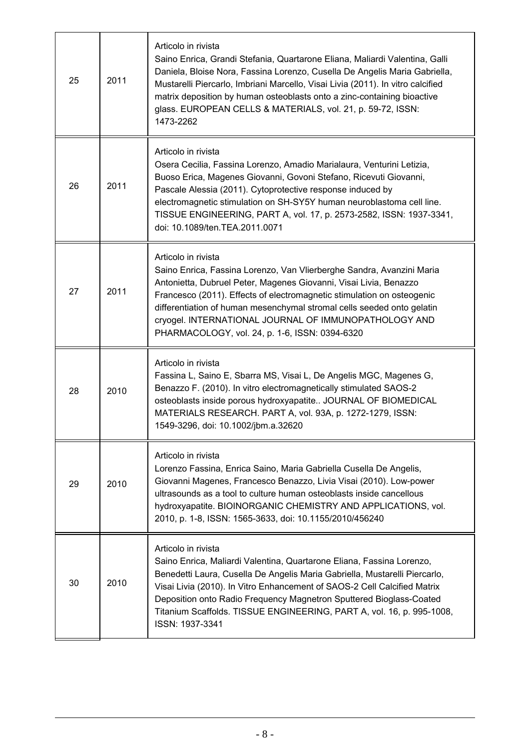| 25 | 2011 | Articolo in rivista<br>Saino Enrica, Grandi Stefania, Quartarone Eliana, Maliardi Valentina, Galli<br>Daniela, Bloise Nora, Fassina Lorenzo, Cusella De Angelis Maria Gabriella,<br>Mustarelli Piercarlo, Imbriani Marcello, Visai Livia (2011). In vitro calcified<br>matrix deposition by human osteoblasts onto a zinc-containing bioactive<br>glass. EUROPEAN CELLS & MATERIALS, vol. 21, p. 59-72, ISSN:<br>1473-2262       |
|----|------|----------------------------------------------------------------------------------------------------------------------------------------------------------------------------------------------------------------------------------------------------------------------------------------------------------------------------------------------------------------------------------------------------------------------------------|
| 26 | 2011 | Articolo in rivista<br>Osera Cecilia, Fassina Lorenzo, Amadio Marialaura, Venturini Letizia,<br>Buoso Erica, Magenes Giovanni, Govoni Stefano, Ricevuti Giovanni,<br>Pascale Alessia (2011). Cytoprotective response induced by<br>electromagnetic stimulation on SH-SY5Y human neuroblastoma cell line.<br>TISSUE ENGINEERING, PART A, vol. 17, p. 2573-2582, ISSN: 1937-3341,<br>doi: 10.1089/ten.TEA.2011.0071                |
| 27 | 2011 | Articolo in rivista<br>Saino Enrica, Fassina Lorenzo, Van Vlierberghe Sandra, Avanzini Maria<br>Antonietta, Dubruel Peter, Magenes Giovanni, Visai Livia, Benazzo<br>Francesco (2011). Effects of electromagnetic stimulation on osteogenic<br>differentiation of human mesenchymal stromal cells seeded onto gelatin<br>cryogel. INTERNATIONAL JOURNAL OF IMMUNOPATHOLOGY AND<br>PHARMACOLOGY, vol. 24, p. 1-6, ISSN: 0394-6320 |
| 28 | 2010 | Articolo in rivista<br>Fassina L, Saino E, Sbarra MS, Visai L, De Angelis MGC, Magenes G,<br>Benazzo F. (2010). In vitro electromagnetically stimulated SAOS-2<br>osteoblasts inside porous hydroxyapatite JOURNAL OF BIOMEDICAL<br>MATERIALS RESEARCH. PART A, vol. 93A, p. 1272-1279, ISSN:<br>1549-3296, doi: 10.1002/jbm.a.32620                                                                                             |
| 29 | 2010 | Articolo in rivista<br>Lorenzo Fassina, Enrica Saino, Maria Gabriella Cusella De Angelis,<br>Giovanni Magenes, Francesco Benazzo, Livia Visai (2010). Low-power<br>ultrasounds as a tool to culture human osteoblasts inside cancellous<br>hydroxyapatite. BIOINORGANIC CHEMISTRY AND APPLICATIONS, vol.<br>2010, p. 1-8, ISSN: 1565-3633, doi: 10.1155/2010/456240                                                              |
| 30 | 2010 | Articolo in rivista<br>Saino Enrica, Maliardi Valentina, Quartarone Eliana, Fassina Lorenzo,<br>Benedetti Laura, Cusella De Angelis Maria Gabriella, Mustarelli Piercarlo,<br>Visai Livia (2010). In Vitro Enhancement of SAOS-2 Cell Calcified Matrix<br>Deposition onto Radio Frequency Magnetron Sputtered Bioglass-Coated<br>Titanium Scaffolds. TISSUE ENGINEERING, PART A, vol. 16, p. 995-1008,<br>ISSN: 1937-3341        |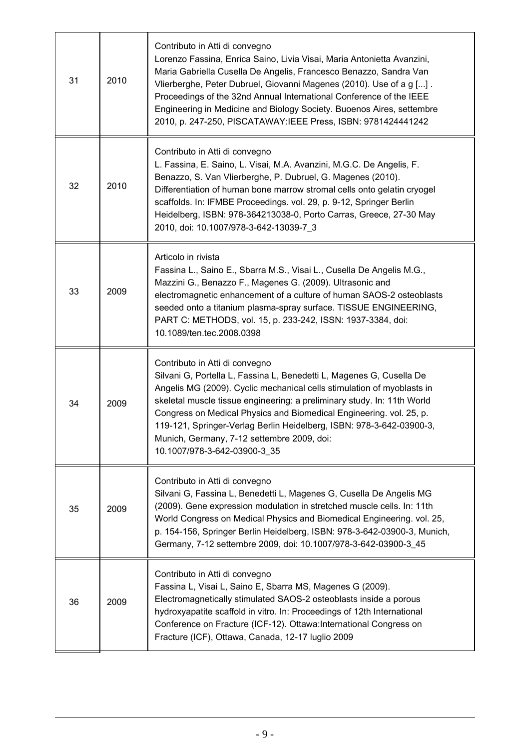| 31 | 2010 | Contributo in Atti di convegno<br>Lorenzo Fassina, Enrica Saino, Livia Visai, Maria Antonietta Avanzini,<br>Maria Gabriella Cusella De Angelis, Francesco Benazzo, Sandra Van<br>Vlierberghe, Peter Dubruel, Giovanni Magenes (2010). Use of a g [].<br>Proceedings of the 32nd Annual International Conference of the IEEE<br>Engineering in Medicine and Biology Society. Buoenos Aires, settembre<br>2010, p. 247-250, PISCATAWAY: IEEE Press, ISBN: 9781424441242                    |
|----|------|------------------------------------------------------------------------------------------------------------------------------------------------------------------------------------------------------------------------------------------------------------------------------------------------------------------------------------------------------------------------------------------------------------------------------------------------------------------------------------------|
| 32 | 2010 | Contributo in Atti di convegno<br>L. Fassina, E. Saino, L. Visai, M.A. Avanzini, M.G.C. De Angelis, F.<br>Benazzo, S. Van Vlierberghe, P. Dubruel, G. Magenes (2010).<br>Differentiation of human bone marrow stromal cells onto gelatin cryogel<br>scaffolds. In: IFMBE Proceedings. vol. 29, p. 9-12, Springer Berlin<br>Heidelberg, ISBN: 978-364213038-0, Porto Carras, Greece, 27-30 May<br>2010, doi: 10.1007/978-3-642-13039-7_3                                                  |
| 33 | 2009 | Articolo in rivista<br>Fassina L., Saino E., Sbarra M.S., Visai L., Cusella De Angelis M.G.,<br>Mazzini G., Benazzo F., Magenes G. (2009). Ultrasonic and<br>electromagnetic enhancement of a culture of human SAOS-2 osteoblasts<br>seeded onto a titanium plasma-spray surface. TISSUE ENGINEERING,<br>PART C: METHODS, vol. 15, p. 233-242, ISSN: 1937-3384, doi:<br>10.1089/ten.tec.2008.0398                                                                                        |
| 34 | 2009 | Contributo in Atti di convegno<br>Silvani G, Portella L, Fassina L, Benedetti L, Magenes G, Cusella De<br>Angelis MG (2009). Cyclic mechanical cells stimulation of myoblasts in<br>skeletal muscle tissue engineering: a preliminary study. In: 11th World<br>Congress on Medical Physics and Biomedical Engineering. vol. 25, p.<br>119-121, Springer-Verlag Berlin Heidelberg, ISBN: 978-3-642-03900-3,<br>Munich, Germany, 7-12 settembre 2009, doi:<br>10.1007/978-3-642-03900-3_35 |
| 35 | 2009 | Contributo in Atti di convegno<br>Silvani G, Fassina L, Benedetti L, Magenes G, Cusella De Angelis MG<br>(2009). Gene expression modulation in stretched muscle cells. In: 11th<br>World Congress on Medical Physics and Biomedical Engineering. vol. 25,<br>p. 154-156, Springer Berlin Heidelberg, ISBN: 978-3-642-03900-3, Munich,<br>Germany, 7-12 settembre 2009, doi: 10.1007/978-3-642-03900-3_45                                                                                 |
| 36 | 2009 | Contributo in Atti di convegno<br>Fassina L, Visai L, Saino E, Sbarra MS, Magenes G (2009).<br>Electromagnetically stimulated SAOS-2 osteoblasts inside a porous<br>hydroxyapatite scaffold in vitro. In: Proceedings of 12th International<br>Conference on Fracture (ICF-12). Ottawa: International Congress on<br>Fracture (ICF), Ottawa, Canada, 12-17 luglio 2009                                                                                                                   |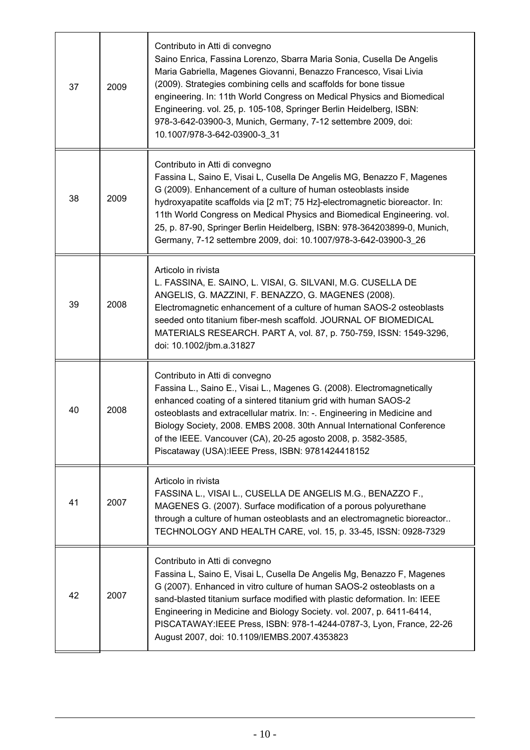| 37 | 2009 | Contributo in Atti di convegno<br>Saino Enrica, Fassina Lorenzo, Sbarra Maria Sonia, Cusella De Angelis<br>Maria Gabriella, Magenes Giovanni, Benazzo Francesco, Visai Livia<br>(2009). Strategies combining cells and scaffolds for bone tissue<br>engineering. In: 11th World Congress on Medical Physics and Biomedical<br>Engineering. vol. 25, p. 105-108, Springer Berlin Heidelberg, ISBN:<br>978-3-642-03900-3, Munich, Germany, 7-12 settembre 2009, doi:<br>10.1007/978-3-642-03900-3_31 |
|----|------|----------------------------------------------------------------------------------------------------------------------------------------------------------------------------------------------------------------------------------------------------------------------------------------------------------------------------------------------------------------------------------------------------------------------------------------------------------------------------------------------------|
| 38 | 2009 | Contributo in Atti di convegno<br>Fassina L, Saino E, Visai L, Cusella De Angelis MG, Benazzo F, Magenes<br>G (2009). Enhancement of a culture of human osteoblasts inside<br>hydroxyapatite scaffolds via [2 mT; 75 Hz]-electromagnetic bioreactor. In:<br>11th World Congress on Medical Physics and Biomedical Engineering. vol.<br>25, p. 87-90, Springer Berlin Heidelberg, ISBN: 978-364203899-0, Munich,<br>Germany, 7-12 settembre 2009, doi: 10.1007/978-3-642-03900-3_26                 |
| 39 | 2008 | Articolo in rivista<br>L. FASSINA, E. SAINO, L. VISAI, G. SILVANI, M.G. CUSELLA DE<br>ANGELIS, G. MAZZINI, F. BENAZZO, G. MAGENES (2008).<br>Electromagnetic enhancement of a culture of human SAOS-2 osteoblasts<br>seeded onto titanium fiber-mesh scaffold. JOURNAL OF BIOMEDICAL<br>MATERIALS RESEARCH. PART A, vol. 87, p. 750-759, ISSN: 1549-3296,<br>doi: 10.1002/jbm.a.31827                                                                                                              |
| 40 | 2008 | Contributo in Atti di convegno<br>Fassina L., Saino E., Visai L., Magenes G. (2008). Electromagnetically<br>enhanced coating of a sintered titanium grid with human SAOS-2<br>osteoblasts and extracellular matrix. In: -. Engineering in Medicine and<br>Biology Society, 2008. EMBS 2008. 30th Annual International Conference<br>of the IEEE. Vancouver (CA), 20-25 agosto 2008, p. 3582-3585,<br>Piscataway (USA):IEEE Press, ISBN: 9781424418152                                              |
| 41 | 2007 | Articolo in rivista<br>FASSINA L., VISAI L., CUSELLA DE ANGELIS M.G., BENAZZO F.,<br>MAGENES G. (2007). Surface modification of a porous polyurethane<br>through a culture of human osteoblasts and an electromagnetic bioreactor<br>TECHNOLOGY AND HEALTH CARE, vol. 15, p. 33-45, ISSN: 0928-7329                                                                                                                                                                                                |
| 42 | 2007 | Contributo in Atti di convegno<br>Fassina L, Saino E, Visai L, Cusella De Angelis Mg, Benazzo F, Magenes<br>G (2007). Enhanced in vitro culture of human SAOS-2 osteoblasts on a<br>sand-blasted titanium surface modified with plastic deformation. In: IEEE<br>Engineering in Medicine and Biology Society. vol. 2007, p. 6411-6414,<br>PISCATAWAY:IEEE Press, ISBN: 978-1-4244-0787-3, Lyon, France, 22-26<br>August 2007, doi: 10.1109/IEMBS.2007.4353823                                      |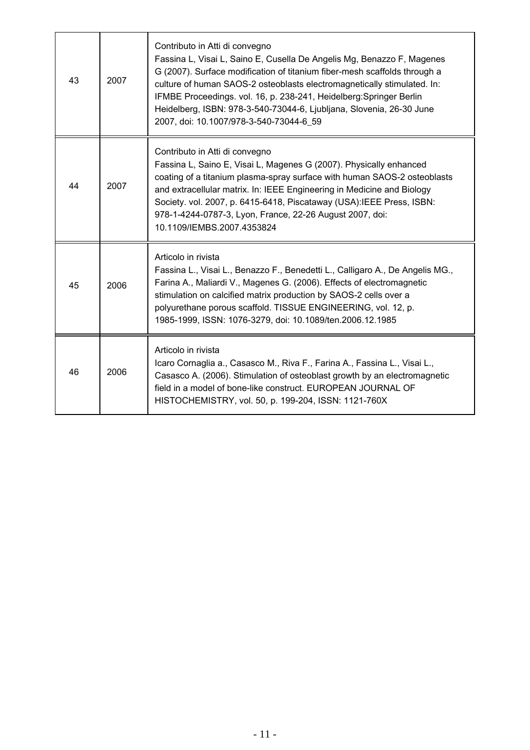| 43 | 2007 | Contributo in Atti di convegno<br>Fassina L, Visai L, Saino E, Cusella De Angelis Mg, Benazzo F, Magenes<br>G (2007). Surface modification of titanium fiber-mesh scaffolds through a<br>culture of human SAOS-2 osteoblasts electromagnetically stimulated. In:<br>IFMBE Proceedings. vol. 16, p. 238-241, Heidelberg: Springer Berlin<br>Heidelberg, ISBN: 978-3-540-73044-6, Ljubljana, Slovenia, 26-30 June<br>2007, doi: 10.1007/978-3-540-73044-6_59 |
|----|------|------------------------------------------------------------------------------------------------------------------------------------------------------------------------------------------------------------------------------------------------------------------------------------------------------------------------------------------------------------------------------------------------------------------------------------------------------------|
| 44 | 2007 | Contributo in Atti di convegno<br>Fassina L, Saino E, Visai L, Magenes G (2007). Physically enhanced<br>coating of a titanium plasma-spray surface with human SAOS-2 osteoblasts<br>and extracellular matrix. In: IEEE Engineering in Medicine and Biology<br>Society. vol. 2007, p. 6415-6418, Piscataway (USA): IEEE Press, ISBN:<br>978-1-4244-0787-3, Lyon, France, 22-26 August 2007, doi:<br>10.1109/IEMBS.2007.4353824                              |
| 45 | 2006 | Articolo in rivista<br>Fassina L., Visai L., Benazzo F., Benedetti L., Calligaro A., De Angelis MG.,<br>Farina A., Maliardi V., Magenes G. (2006). Effects of electromagnetic<br>stimulation on calcified matrix production by SAOS-2 cells over a<br>polyurethane porous scaffold. TISSUE ENGINEERING, vol. 12, p.<br>1985-1999, ISSN: 1076-3279, doi: 10.1089/ten.2006.12.1985                                                                           |
| 46 | 2006 | Articolo in rivista<br>Icaro Cornaglia a., Casasco M., Riva F., Farina A., Fassina L., Visai L.,<br>Casasco A. (2006). Stimulation of osteoblast growth by an electromagnetic<br>field in a model of bone-like construct. EUROPEAN JOURNAL OF<br>HISTOCHEMISTRY, vol. 50, p. 199-204, ISSN: 1121-760X                                                                                                                                                      |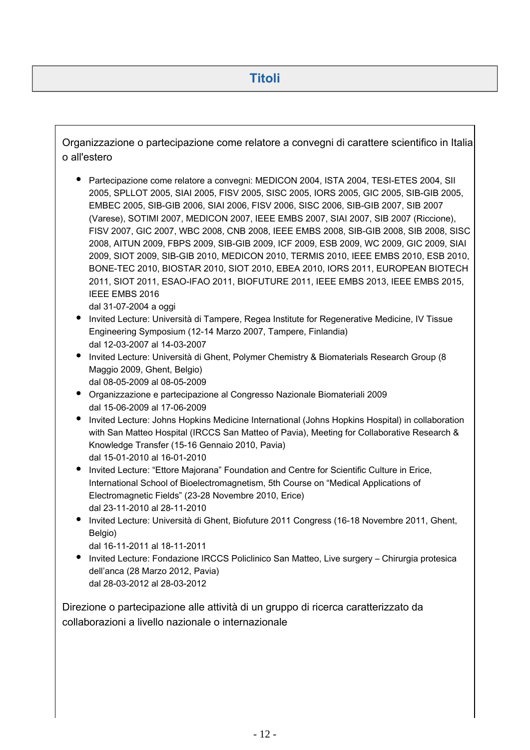Organizzazione o partecipazione come relatore a convegni di carattere scientifico in Italia o all'estero

Partecipazione come relatore a convegni: MEDICON 2004, ISTA 2004, TESI-ETES 2004, SII 2005, SPLLOT 2005, SIAI 2005, FISV 2005, SISC 2005, IORS 2005, GIC 2005, SIB-GIB 2005, EMBEC 2005, SIB-GIB 2006, SIAI 2006, FISV 2006, SISC 2006, SIB-GIB 2007, SIB 2007 (Varese), SOTIMI 2007, MEDICON 2007, IEEE EMBS 2007, SIAI 2007, SIB 2007 (Riccione), FISV 2007, GIC 2007, WBC 2008, CNB 2008, IEEE EMBS 2008, SIB-GIB 2008, SIB 2008, SISC 2008, AITUN 2009, FBPS 2009, SIB-GIB 2009, ICF 2009, ESB 2009, WC 2009, GIC 2009, SIAI 2009, SIOT 2009, SIB-GIB 2010, MEDICON 2010, TERMIS 2010, IEEE EMBS 2010, ESB 2010, BONE-TEC 2010, BIOSTAR 2010, SIOT 2010, EBEA 2010, IORS 2011, EUROPEAN BIOTECH 2011, SIOT 2011, ESAO-IFAO 2011, BIOFUTURE 2011, IEEE EMBS 2013, IEEE EMBS 2015, IEEE EMBS 2016

dal 31-07-2004 a oggi

- Invited Lecture: Università di Tampere, Regea Institute for Regenerative Medicine, IV Tissue Engineering Symposium (12-14 Marzo 2007, Tampere, Finlandia) dal 12-03-2007 al 14-03-2007
- Invited Lecture: Università di Ghent, Polymer Chemistry & Biomaterials Research Group (8 Maggio 2009, Ghent, Belgio) dal 08-05-2009 al 08-05-2009
- Organizzazione e partecipazione al Congresso Nazionale Biomateriali 2009 dal 15-06-2009 al 17-06-2009
- Invited Lecture: Johns Hopkins Medicine International (Johns Hopkins Hospital) in collaboration with San Matteo Hospital (IRCCS San Matteo of Pavia), Meeting for Collaborative Research & Knowledge Transfer (15-16 Gennaio 2010, Pavia) dal 15-01-2010 al 16-01-2010
- Invited Lecture: "Ettore Majorana" Foundation and Centre for Scientific Culture in Erice, International School of Bioelectromagnetism, 5th Course on "Medical Applications of Electromagnetic Fields" (23-28 Novembre 2010, Erice) dal 23-11-2010 al 28-11-2010
- Invited Lecture: Università di Ghent, Biofuture 2011 Congress (16-18 Novembre 2011, Ghent, Belgio)
	- dal 16-11-2011 al 18-11-2011
- Invited Lecture: Fondazione IRCCS Policlinico San Matteo, Live surgery Chirurgia protesica dell'anca (28 Marzo 2012, Pavia) dal 28-03-2012 al 28-03-2012

Direzione o partecipazione alle attività di un gruppo di ricerca caratterizzato da collaborazioni a livello nazionale o internazionale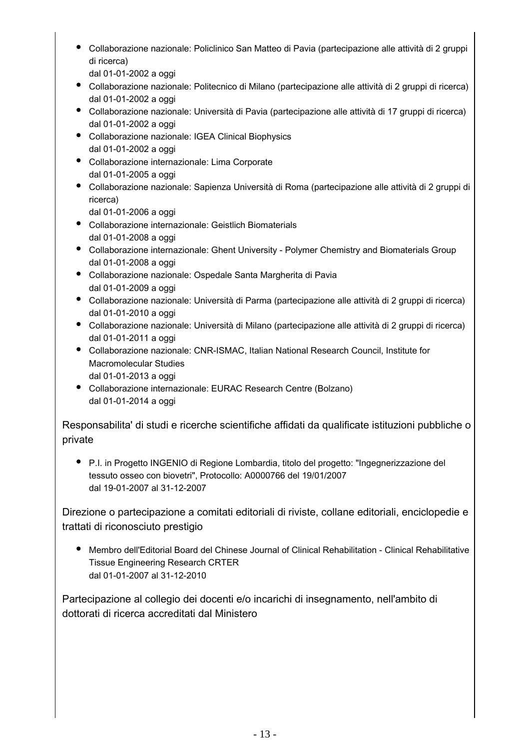Collaborazione nazionale: Policlinico San Matteo di Pavia (partecipazione alle attività di 2 gruppi di ricerca)

dal 01-01-2002 a oggi

- Collaborazione nazionale: Politecnico di Milano (partecipazione alle attività di 2 gruppi di ricerca) dal 01-01-2002 a oggi
- Collaborazione nazionale: Università di Pavia (partecipazione alle attività di 17 gruppi di ricerca) dal 01-01-2002 a oggi
- Collaborazione nazionale: IGEA Clinical Biophysics dal 01-01-2002 a oggi
- Collaborazione internazionale: Lima Corporate dal 01-01-2005 a oggi
- Collaborazione nazionale: Sapienza Università di Roma (partecipazione alle attività di 2 gruppi di ricerca)

dal 01-01-2006 a oggi

- Collaborazione internazionale: Geistlich Biomaterials dal 01-01-2008 a oggi
- Collaborazione internazionale: Ghent University Polymer Chemistry and Biomaterials Group dal 01-01-2008 a oggi
- Collaborazione nazionale: Ospedale Santa Margherita di Pavia dal 01-01-2009 a oggi
- Collaborazione nazionale: Università di Parma (partecipazione alle attività di 2 gruppi di ricerca) dal 01-01-2010 a oggi
- Collaborazione nazionale: Università di Milano (partecipazione alle attività di 2 gruppi di ricerca) dal 01-01-2011 a oggi
- Collaborazione nazionale: CNR-ISMAC, Italian National Research Council, Institute for Macromolecular Studies dal 01-01-2013 a oggi
- Collaborazione internazionale: EURAC Research Centre (Bolzano) dal 01-01-2014 a oggi

Responsabilita' di studi e ricerche scientifiche affidati da qualificate istituzioni pubbliche o private

P.I. in Progetto INGENIO di Regione Lombardia, titolo del progetto: "Ingegnerizzazione del tessuto osseo con biovetri", Protocollo: A0000766 del 19/01/2007 dal 19-01-2007 al 31-12-2007

Direzione o partecipazione a comitati editoriali di riviste, collane editoriali, enciclopedie e trattati di riconosciuto prestigio

Membro dell'Editorial Board del Chinese Journal of Clinical Rehabilitation - Clinical Rehabilitative Tissue Engineering Research CRTER dal 01-01-2007 al 31-12-2010

Partecipazione al collegio dei docenti e/o incarichi di insegnamento, nell'ambito di dottorati di ricerca accreditati dal Ministero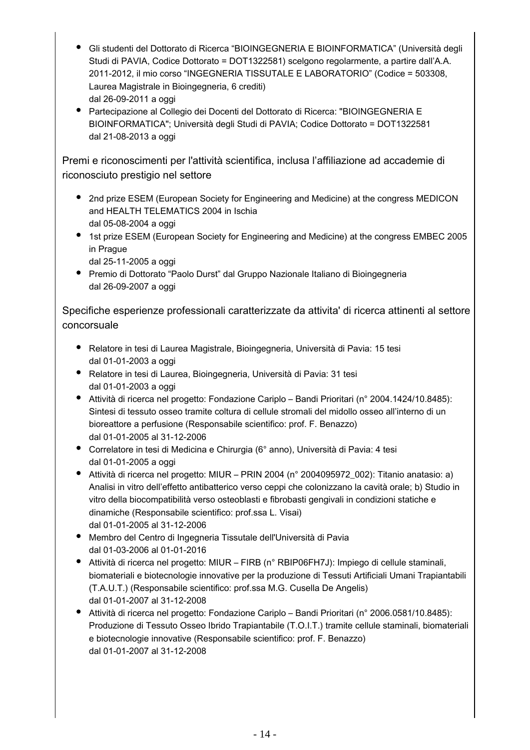- Gli studenti del Dottorato di Ricerca "BIOINGEGNERIA E BIOINFORMATICA" (Università degli Studi di PAVIA, Codice Dottorato = DOT1322581) scelgono regolarmente, a partire dall'A.A. 2011-2012, il mio corso "INGEGNERIA TISSUTALE E LABORATORIO" (Codice = 503308, Laurea Magistrale in Bioingegneria, 6 crediti) dal 26-09-2011 a oggi
- Partecipazione al Collegio dei Docenti del Dottorato di Ricerca: "BIOINGEGNERIA E BIOINFORMATICA"; Università degli Studi di PAVIA; Codice Dottorato = DOT1322581 dal 21-08-2013 a oggi

Premi e riconoscimenti per l'attività scientifica, inclusa l'affiliazione ad accademie di riconosciuto prestigio nel settore

- 2nd prize ESEM (European Society for Engineering and Medicine) at the congress MEDICON and HEALTH TELEMATICS 2004 in Ischia dal 05-08-2004 a oggi
- 1st prize ESEM (European Society for Engineering and Medicine) at the congress EMBEC 2005 in Prague

dal 25-11-2005 a oggi

Premio di Dottorato "Paolo Durst" dal Gruppo Nazionale Italiano di Bioingegneria dal 26-09-2007 a oggi

Specifiche esperienze professionali caratterizzate da attivita' di ricerca attinenti al settore concorsuale

- Relatore in tesi di Laurea Magistrale, Bioingegneria, Università di Pavia: 15 tesi dal 01-01-2003 a oggi
- Relatore in tesi di Laurea, Bioingegneria, Università di Pavia: 31 tesi dal 01-01-2003 a oggi
- Attività di ricerca nel progetto: Fondazione Cariplo Bandi Prioritari (n° 2004.1424/10.8485): Sintesi di tessuto osseo tramite coltura di cellule stromali del midollo osseo all'interno di un bioreattore a perfusione (Responsabile scientifico: prof. F. Benazzo) dal 01-01-2005 al 31-12-2006
- Correlatore in tesi di Medicina e Chirurgia (6° anno), Università di Pavia: 4 tesi dal 01-01-2005 a oggi
- Attività di ricerca nel progetto: MIUR PRIN 2004 (n° 2004095972\_002): Titanio anatasio: a) Analisi in vitro dell'effetto antibatterico verso ceppi che colonizzano la cavità orale; b) Studio in vitro della biocompatibilità verso osteoblasti e fibrobasti gengivali in condizioni statiche e dinamiche (Responsabile scientifico: prof.ssa L. Visai) dal 01-01-2005 al 31-12-2006
- Membro del Centro di Ingegneria Tissutale dell'Università di Pavia dal 01-03-2006 al 01-01-2016
- Attività di ricerca nel progetto: MIUR FIRB (n° RBIP06FH7J): Impiego di cellule staminali, biomateriali e biotecnologie innovative per la produzione di Tessuti Artificiali Umani Trapiantabili (T.A.U.T.) (Responsabile scientifico: prof.ssa M.G. Cusella De Angelis) dal 01-01-2007 al 31-12-2008
- Attività di ricerca nel progetto: Fondazione Cariplo Bandi Prioritari (n° 2006.0581/10.8485): Produzione di Tessuto Osseo Ibrido Trapiantabile (T.O.I.T.) tramite cellule staminali, biomateriali e biotecnologie innovative (Responsabile scientifico: prof. F. Benazzo) dal 01-01-2007 al 31-12-2008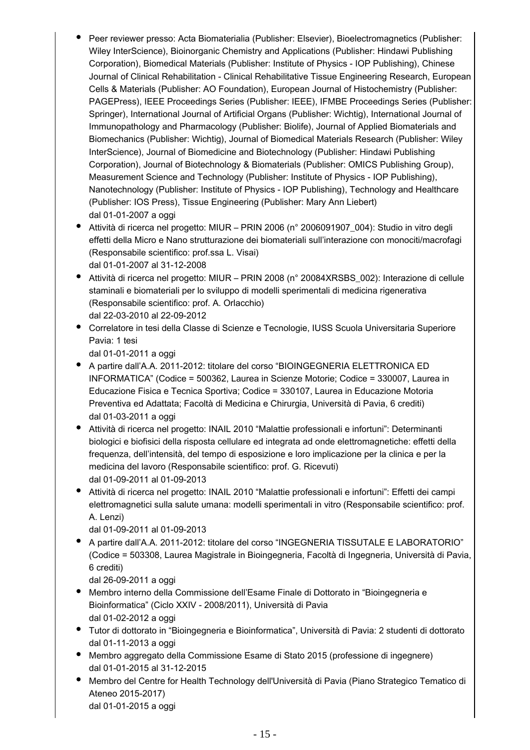- Peer reviewer presso: Acta Biomaterialia (Publisher: Elsevier), Bioelectromagnetics (Publisher: Wiley InterScience), Bioinorganic Chemistry and Applications (Publisher: Hindawi Publishing Corporation), Biomedical Materials (Publisher: Institute of Physics - IOP Publishing), Chinese Journal of Clinical Rehabilitation - Clinical Rehabilitative Tissue Engineering Research, European Cells & Materials (Publisher: AO Foundation), European Journal of Histochemistry (Publisher: PAGEPress), IEEE Proceedings Series (Publisher: IEEE), IFMBE Proceedings Series (Publisher: Springer), International Journal of Artificial Organs (Publisher: Wichtig), International Journal of Immunopathology and Pharmacology (Publisher: Biolife), Journal of Applied Biomaterials and Biomechanics (Publisher: Wichtig), Journal of Biomedical Materials Research (Publisher: Wiley InterScience), Journal of Biomedicine and Biotechnology (Publisher: Hindawi Publishing Corporation), Journal of Biotechnology & Biomaterials (Publisher: OMICS Publishing Group), Measurement Science and Technology (Publisher: Institute of Physics - IOP Publishing), Nanotechnology (Publisher: Institute of Physics - IOP Publishing), Technology and Healthcare (Publisher: IOS Press), Tissue Engineering (Publisher: Mary Ann Liebert) dal 01-01-2007 a oggi
- Attività di ricerca nel progetto: MIUR PRIN 2006 (n° 2006091907 004): Studio in vitro degli effetti della Micro e Nano strutturazione dei biomateriali sull'interazione con monociti/macrofagi (Responsabile scientifico: prof.ssa L. Visai) dal 01-01-2007 al 31-12-2008
- Attività di ricerca nel progetto: MIUR PRIN 2008 (n° 20084XRSBS\_002): Interazione di cellule staminali e biomateriali per lo sviluppo di modelli sperimentali di medicina rigenerativa (Responsabile scientifico: prof. A. Orlacchio) dal 22-03-2010 al 22-09-2012
- Correlatore in tesi della Classe di Scienze e Tecnologie, IUSS Scuola Universitaria Superiore Pavia: 1 tesi

dal 01-01-2011 a oggi

- A partire dall'A.A. 2011-2012: titolare del corso "BIOINGEGNERIA ELETTRONICA ED INFORMATICA" (Codice = 500362, Laurea in Scienze Motorie; Codice = 330007, Laurea in Educazione Fisica e Tecnica Sportiva; Codice = 330107, Laurea in Educazione Motoria Preventiva ed Adattata; Facoltà di Medicina e Chirurgia, Università di Pavia, 6 crediti) dal 01-03-2011 a oggi
- Attività di ricerca nel progetto: INAIL 2010 "Malattie professionali e infortuni": Determinanti biologici e biofisici della risposta cellulare ed integrata ad onde elettromagnetiche: effetti della frequenza, dell'intensità, del tempo di esposizione e loro implicazione per la clinica e per la medicina del lavoro (Responsabile scientifico: prof. G. Ricevuti) dal 01-09-2011 al 01-09-2013
- Attività di ricerca nel progetto: INAIL 2010 "Malattie professionali e infortuni": Effetti dei campi elettromagnetici sulla salute umana: modelli sperimentali in vitro (Responsabile scientifico: prof. A. Lenzi)

dal 01-09-2011 al 01-09-2013

A partire dall'A.A. 2011-2012: titolare del corso "INGEGNERIA TISSUTALE E LABORATORIO" (Codice = 503308, Laurea Magistrale in Bioingegneria, Facoltà di Ingegneria, Università di Pavia, 6 crediti)

dal 26-09-2011 a oggi

- Membro interno della Commissione dell'Esame Finale di Dottorato in "Bioingegneria e Bioinformatica" (Ciclo XXIV - 2008/2011), Università di Pavia dal 01-02-2012 a oggi
- Tutor di dottorato in "Bioingegneria e Bioinformatica", Università di Pavia: 2 studenti di dottorato dal 01-11-2013 a oggi
- Membro aggregato della Commissione Esame di Stato 2015 (professione di ingegnere) dal 01-01-2015 al 31-12-2015
- Membro del Centre for Health Technology dell'Università di Pavia (Piano Strategico Tematico di Ateneo 2015-2017) dal 01-01-2015 a oggi